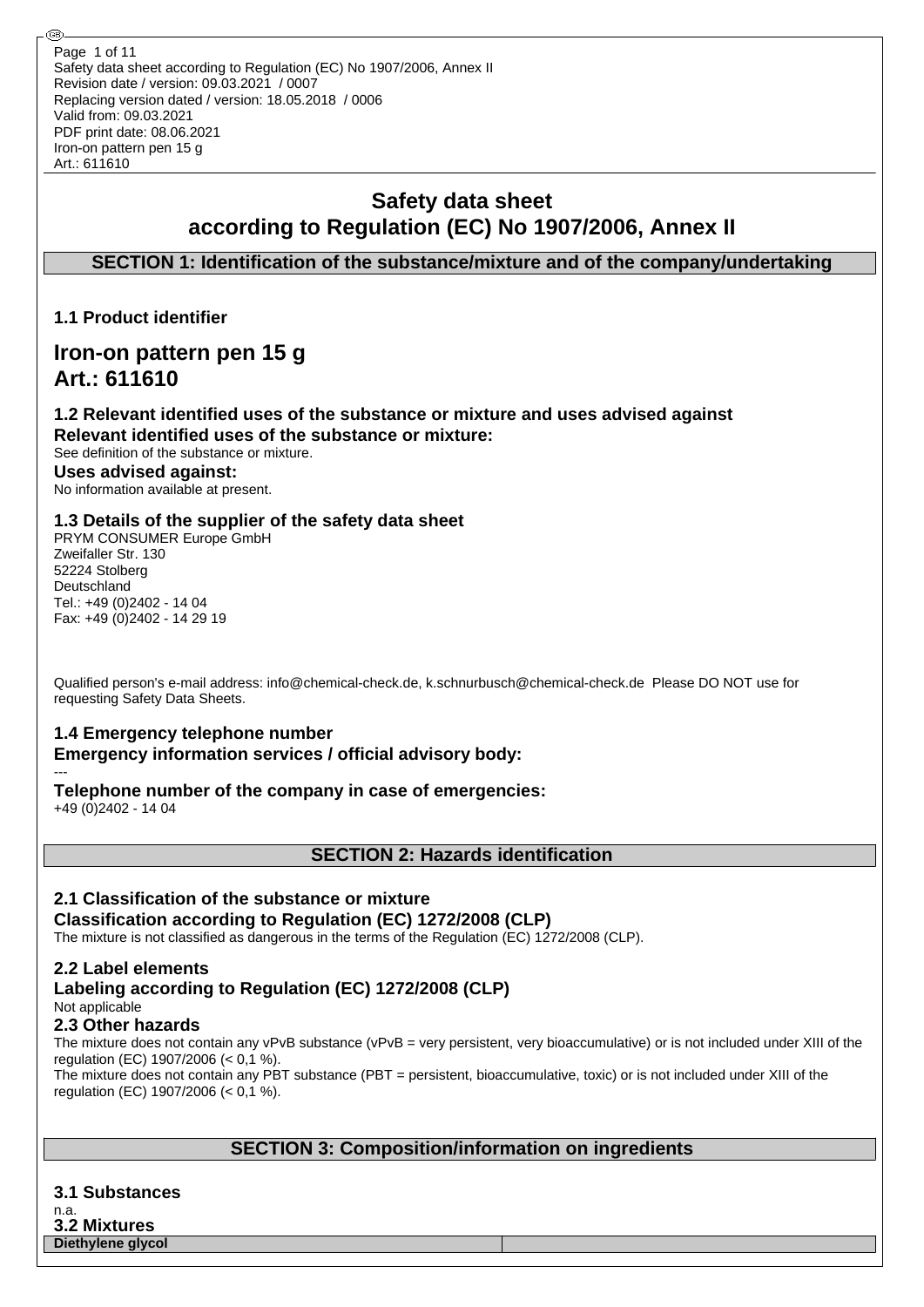## **Safety data sheet according to Regulation (EC) No 1907/2006, Annex II**

## **SECTION 1: Identification of the substance/mixture and of the company/undertaking**

**1.1 Product identifier**

## **Iron-on pattern pen 15 g Art.: 611610**

## **1.2 Relevant identified uses of the substance or mixture and uses advised against Relevant identified uses of the substance or mixture:**

See definition of the substance or mixture. **Uses advised against:** No information available at present.

## **1.3 Details of the supplier of the safety data sheet**

PRYM CONSUMER Europe GmbH Zweifaller Str. 130 52224 Stolberg Deutschland Tel.: +49 (0)2402 - 14 04 Fax: +49 (0)2402 - 14 29 19

Qualified person's e-mail address: info@chemical-check.de, k.schnurbusch@chemical-check.de Please DO NOT use for requesting Safety Data Sheets.

# **1.4 Emergency telephone number**

**Emergency information services / official advisory body:** ---

**Telephone number of the company in case of emergencies:**

+49 (0)2402 - 14 04

**SECTION 2: Hazards identification**

## **2.1 Classification of the substance or mixture**

**Classification according to Regulation (EC) 1272/2008 (CLP)**

The mixture is not classified as dangerous in the terms of the Regulation (EC) 1272/2008 (CLP).

## **2.2 Label elements**

## **Labeling according to Regulation (EC) 1272/2008 (CLP)** Not applicable

## **2.3 Other hazards**

The mixture does not contain any vPvB substance (vPvB = very persistent, very bioaccumulative) or is not included under XIII of the regulation (EC) 1907/2006 (< 0,1 %).

The mixture does not contain any PBT substance (PBT = persistent, bioaccumulative, toxic) or is not included under XIII of the regulation (EC) 1907/2006 (< 0,1 %).

## **SECTION 3: Composition/information on ingredients**

**3.1 Substances** n.a. **3.2 Mixtures Diethylene glycol**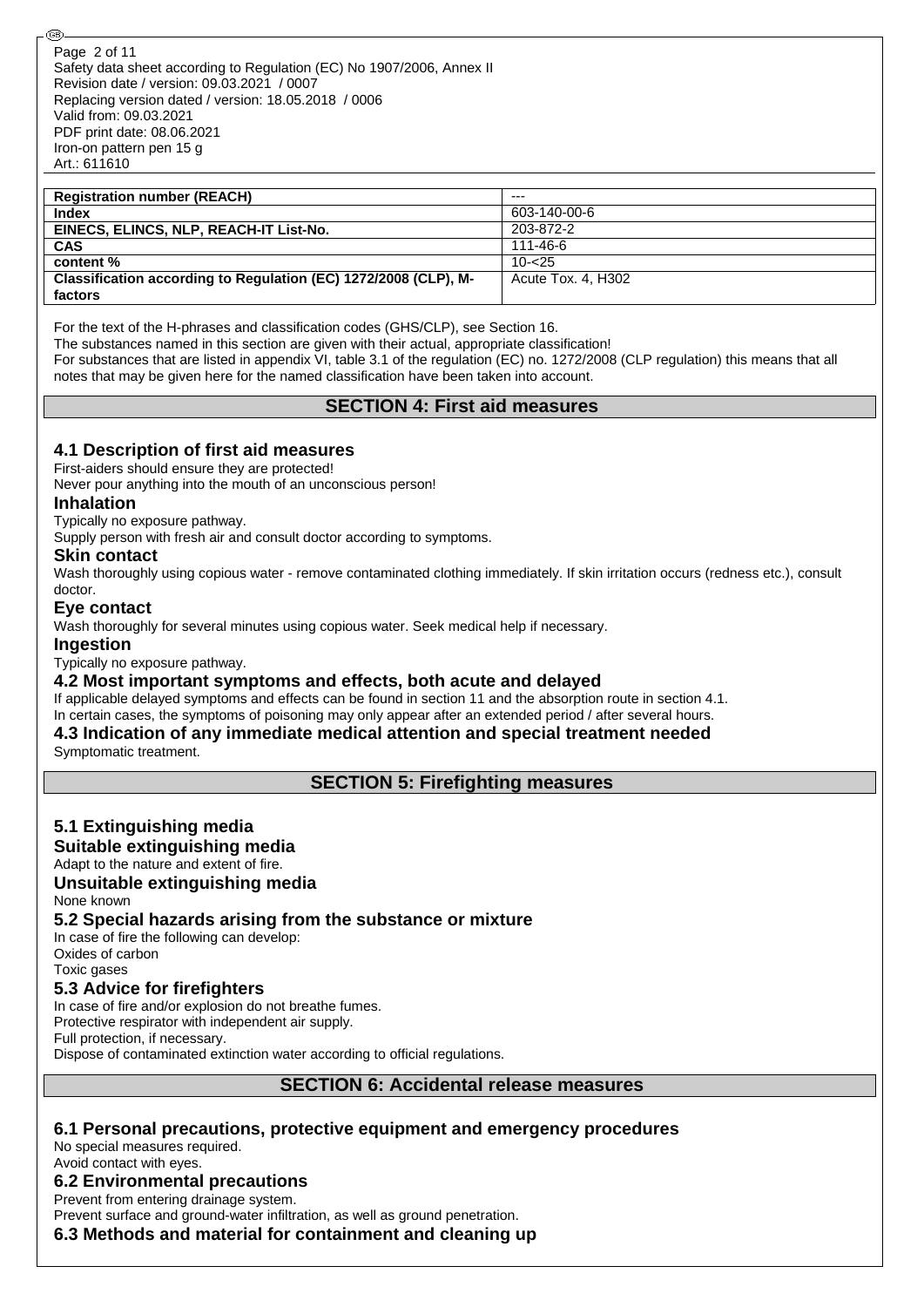| <b>Registration number (REACH)</b>                              | $- - -$            |
|-----------------------------------------------------------------|--------------------|
| Index                                                           | 603-140-00-6       |
| EINECS, ELINCS, NLP, REACH-IT List-No.                          | 203-872-2          |
| <b>CAS</b>                                                      | 111-46-6           |
| content %                                                       | $10 - 25$          |
| Classification according to Regulation (EC) 1272/2008 (CLP), M- | Acute Tox. 4. H302 |
| factors                                                         |                    |

For the text of the H-phrases and classification codes (GHS/CLP), see Section 16.

The substances named in this section are given with their actual, appropriate classification!

For substances that are listed in appendix VI, table 3.1 of the regulation (EC) no. 1272/2008 (CLP regulation) this means that all notes that may be given here for the named classification have been taken into account.

## **SECTION 4: First aid measures**

## **4.1 Description of first aid measures**

First-aiders should ensure they are protected!

Never pour anything into the mouth of an unconscious person!

#### **Inhalation**

Typically no exposure pathway.

Supply person with fresh air and consult doctor according to symptoms.

#### **Skin contact**

Wash thoroughly using copious water - remove contaminated clothing immediately. If skin irritation occurs (redness etc.), consult doctor.

#### **Eye contact**

Wash thoroughly for several minutes using copious water. Seek medical help if necessary.

#### **Ingestion**

Typically no exposure pathway.

#### **4.2 Most important symptoms and effects, both acute and delayed**

If applicable delayed symptoms and effects can be found in section 11 and the absorption route in section 4.1.

In certain cases, the symptoms of poisoning may only appear after an extended period / after several hours.

## **4.3 Indication of any immediate medical attention and special treatment needed**

Symptomatic treatment.

**SECTION 5: Firefighting measures**

## **5.1 Extinguishing media**

#### **Suitable extinguishing media**

#### Adapt to the nature and extent of fire.

#### **Unsuitable extinguishing media**

None known

#### **5.2 Special hazards arising from the substance or mixture**

In case of fire the following can develop: Oxides of carbon Toxic gases

#### **5.3 Advice for firefighters**

In case of fire and/or explosion do not breathe fumes.

Protective respirator with independent air supply.

Full protection, if necessary.

Dispose of contaminated extinction water according to official regulations.

#### **SECTION 6: Accidental release measures**

### **6.1 Personal precautions, protective equipment and emergency procedures**

No special measures required. Avoid contact with eyes.

#### **6.2 Environmental precautions**

Prevent from entering drainage system.

Prevent surface and ground-water infiltration, as well as ground penetration.

**6.3 Methods and material for containment and cleaning up**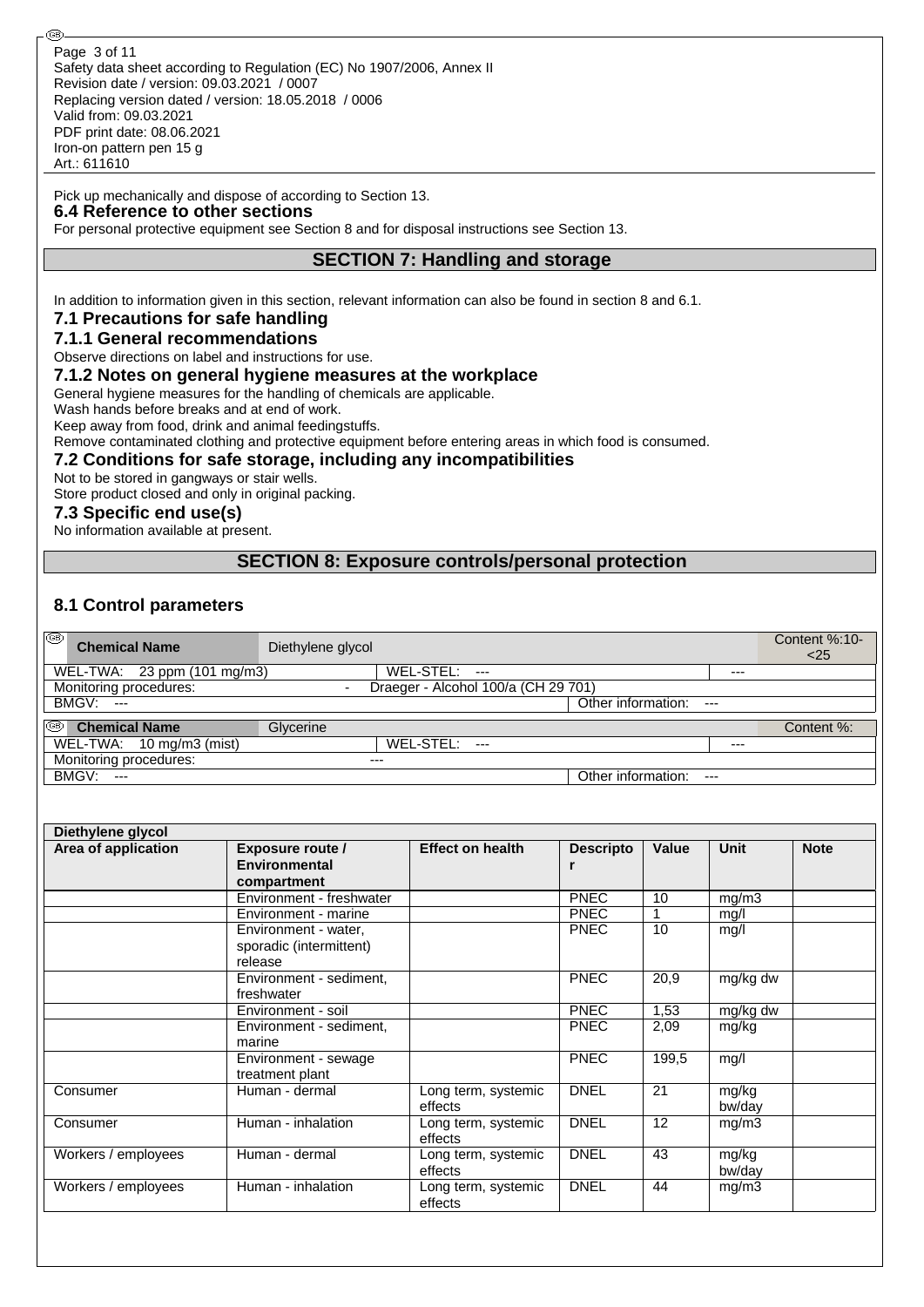#### Pick up mechanically and dispose of according to Section 13.

#### **6.4 Reference to other sections**

@

For personal protective equipment see Section 8 and for disposal instructions see Section 13.

## **SECTION 7: Handling and storage**

In addition to information given in this section, relevant information can also be found in section 8 and 6.1.

#### **7.1 Precautions for safe handling**

## **7.1.1 General recommendations**

Observe directions on label and instructions for use.

#### **7.1.2 Notes on general hygiene measures at the workplace**

General hygiene measures for the handling of chemicals are applicable.

Wash hands before breaks and at end of work.

Keep away from food, drink and animal feedingstuffs.

Remove contaminated clothing and protective equipment before entering areas in which food is consumed.

#### **7.2 Conditions for safe storage, including any incompatibilities**

Not to be stored in gangways or stair wells.

Store product closed and only in original packing.

#### **7.3 Specific end use(s)**

No information available at present.

#### **SECTION 8: Exposure controls/personal protection**

## **8.1 Control parameters**

| ∣®<br><b>Chemical Name</b>  | Diethylene glycol        |                                     |                    |       | Content %:10-<br>$<$ 25 |
|-----------------------------|--------------------------|-------------------------------------|--------------------|-------|-------------------------|
| WEL-TWA: 23 ppm (101 mg/m3) |                          | WEL-STEL:<br>$---$                  |                    | $---$ |                         |
| Monitoring procedures:      | $\overline{\phantom{a}}$ | Draeger - Alcohol 100/a (CH 29 701) |                    |       |                         |
| <b>BMGV: ---</b>            |                          |                                     | Other information: | $---$ |                         |
| 0<br><b>Chemical Name</b>   | Glycerine                |                                     |                    |       | Content %:              |
| WEL-TWA: 10 mg/m3 (mist)    |                          | WEL-STEL: ---                       |                    | $---$ |                         |
| Monitoring procedures:      | $---$                    |                                     |                    |       |                         |
| <b>BMGV: ---</b>            |                          |                                     | Other information: | $---$ |                         |

| Area of application | <b>Exposure route /</b>                                    | <b>Effect on health</b>        | <b>Descripto</b> | Value           | <b>Unit</b>     | <b>Note</b> |
|---------------------|------------------------------------------------------------|--------------------------------|------------------|-----------------|-----------------|-------------|
|                     | <b>Environmental</b>                                       |                                | r                |                 |                 |             |
|                     | compartment                                                |                                |                  |                 |                 |             |
|                     | Environment - freshwater                                   |                                | <b>PNEC</b>      | 10              | mg/m3           |             |
|                     | Environment - marine                                       |                                | <b>PNEC</b>      | 1               | mq/l            |             |
|                     | Environment - water,<br>sporadic (intermittent)<br>release |                                | <b>PNEC</b>      | 10              | mg/l            |             |
|                     | Environment - sediment,<br>freshwater                      |                                | <b>PNEC</b>      | 20,9            | mg/kg dw        |             |
|                     | Environment - soil                                         |                                | <b>PNEC</b>      | 1,53            | mg/kg dw        |             |
|                     | Environment - sediment,<br>marine                          |                                | <b>PNEC</b>      | 2,09            | mg/kg           |             |
|                     | Environment - sewage<br>treatment plant                    |                                | <b>PNEC</b>      | 199,5           | mg/l            |             |
| Consumer            | Human - dermal                                             | Long term, systemic<br>effects | <b>DNEL</b>      | 21              | mg/kg<br>bw/day |             |
| Consumer            | Human - inhalation                                         | Long term, systemic<br>effects | <b>DNEL</b>      | 12 <sup>2</sup> | mg/m3           |             |
| Workers / employees | Human - dermal                                             | Long term, systemic<br>effects | <b>DNEL</b>      | 43              | mg/kg<br>bw/day |             |
| Workers / employees | Human - inhalation                                         | Long term, systemic<br>effects | <b>DNEL</b>      | 44              | mg/m3           |             |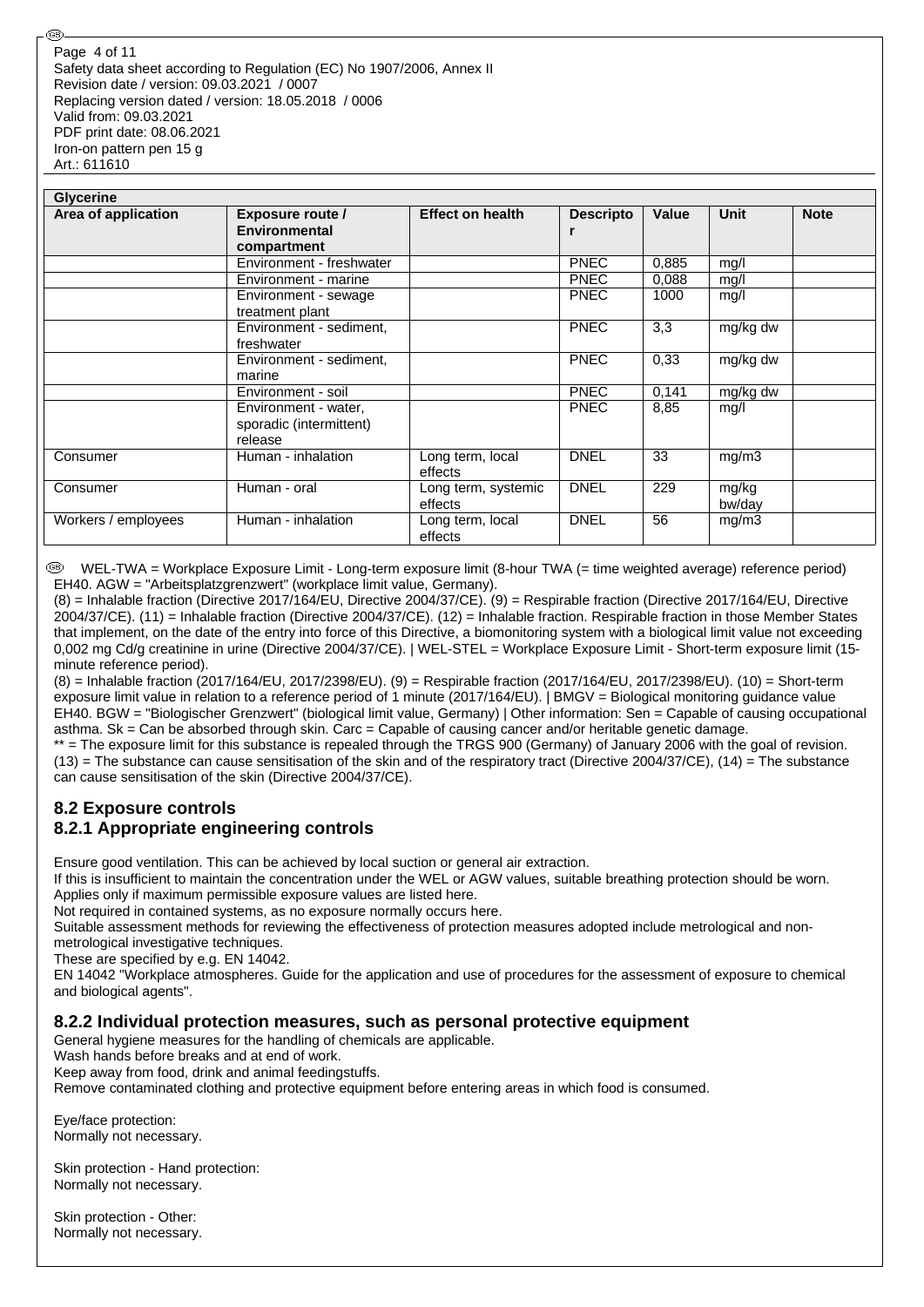| <b>Glycerine</b>    |                                                            |                                |                  |       |                 |             |  |  |  |
|---------------------|------------------------------------------------------------|--------------------------------|------------------|-------|-----------------|-------------|--|--|--|
| Area of application | <b>Exposure route /</b><br>Environmental<br>compartment    | <b>Effect on health</b>        | <b>Descripto</b> | Value | Unit            | <b>Note</b> |  |  |  |
|                     | Environment - freshwater                                   |                                | <b>PNEC</b>      | 0,885 | mg/l            |             |  |  |  |
|                     | Environment - marine                                       |                                | <b>PNEC</b>      | 0,088 | mg/l            |             |  |  |  |
|                     | Environment - sewage<br>treatment plant                    |                                | <b>PNEC</b>      | 1000  | mq/l            |             |  |  |  |
|                     | Environment - sediment.<br>freshwater                      |                                | <b>PNEC</b>      | 3,3   | mg/kg dw        |             |  |  |  |
|                     | Environment - sediment,<br>marine                          |                                | <b>PNEC</b>      | 0.33  | mg/kg dw        |             |  |  |  |
|                     | Environment - soil                                         |                                | <b>PNEC</b>      | 0,141 | mg/kg dw        |             |  |  |  |
|                     | Environment - water,<br>sporadic (intermittent)<br>release |                                | <b>PNEC</b>      | 8,85  | mg/l            |             |  |  |  |
| Consumer            | Human - inhalation                                         | Long term, local<br>effects    | <b>DNEL</b>      | 33    | mg/m3           |             |  |  |  |
| Consumer            | Human - oral                                               | Long term, systemic<br>effects | <b>DNEL</b>      | 229   | mg/kg<br>bw/day |             |  |  |  |
| Workers / employees | Human - inhalation                                         | Long term, local<br>effects    | <b>DNEL</b>      | 56    | mg/m3           |             |  |  |  |

 WEL-TWA = Workplace Exposure Limit - Long-term exposure limit (8-hour TWA (= time weighted average) reference period) EH40. AGW = "Arbeitsplatzgrenzwert" (workplace limit value, Germany).

(8) = Inhalable fraction (Directive 2017/164/EU, Directive 2004/37/CE). (9) = Respirable fraction (Directive 2017/164/EU, Directive 2004/37/CE). (11) = Inhalable fraction (Directive 2004/37/CE). (12) = Inhalable fraction. Respirable fraction in those Member States that implement, on the date of the entry into force of this Directive, a biomonitoring system with a biological limit value not exceeding 0,002 mg Cd/g creatinine in urine (Directive 2004/37/CE). | WEL-STEL = Workplace Exposure Limit - Short-term exposure limit (15 minute reference period).

(8) = Inhalable fraction (2017/164/EU, 2017/2398/EU). (9) = Respirable fraction (2017/164/EU, 2017/2398/EU). (10) = Short-term exposure limit value in relation to a reference period of 1 minute (2017/164/EU). | BMGV = Biological monitoring guidance value EH40. BGW = "Biologischer Grenzwert" (biological limit value, Germany) | Other information: Sen = Capable of causing occupational asthma. Sk = Can be absorbed through skin. Carc = Capable of causing cancer and/or heritable genetic damage.

\*\* = The exposure limit for this substance is repealed through the TRGS 900 (Germany) of January 2006 with the goal of revision.  $(13)$  = The substance can cause sensitisation of the skin and of the respiratory tract (Directive 2004/37/CE), (14) = The substance can cause sensitisation of the skin (Directive 2004/37/CE).

## **8.2 Exposure controls 8.2.1 Appropriate engineering controls**

Ensure good ventilation. This can be achieved by local suction or general air extraction.

If this is insufficient to maintain the concentration under the WEL or AGW values, suitable breathing protection should be worn. Applies only if maximum permissible exposure values are listed here.

Not required in contained systems, as no exposure normally occurs here.

Suitable assessment methods for reviewing the effectiveness of protection measures adopted include metrological and nonmetrological investigative techniques.

These are specified by e.g. EN 14042.

EN 14042 "Workplace atmospheres. Guide for the application and use of procedures for the assessment of exposure to chemical and biological agents".

## **8.2.2 Individual protection measures, such as personal protective equipment**

General hygiene measures for the handling of chemicals are applicable.

Wash hands before breaks and at end of work.

Keep away from food, drink and animal feedingstuffs.

Remove contaminated clothing and protective equipment before entering areas in which food is consumed.

Eye/face protection: Normally not necessary.

Skin protection - Hand protection: Normally not necessary.

Skin protection - Other: Normally not necessary.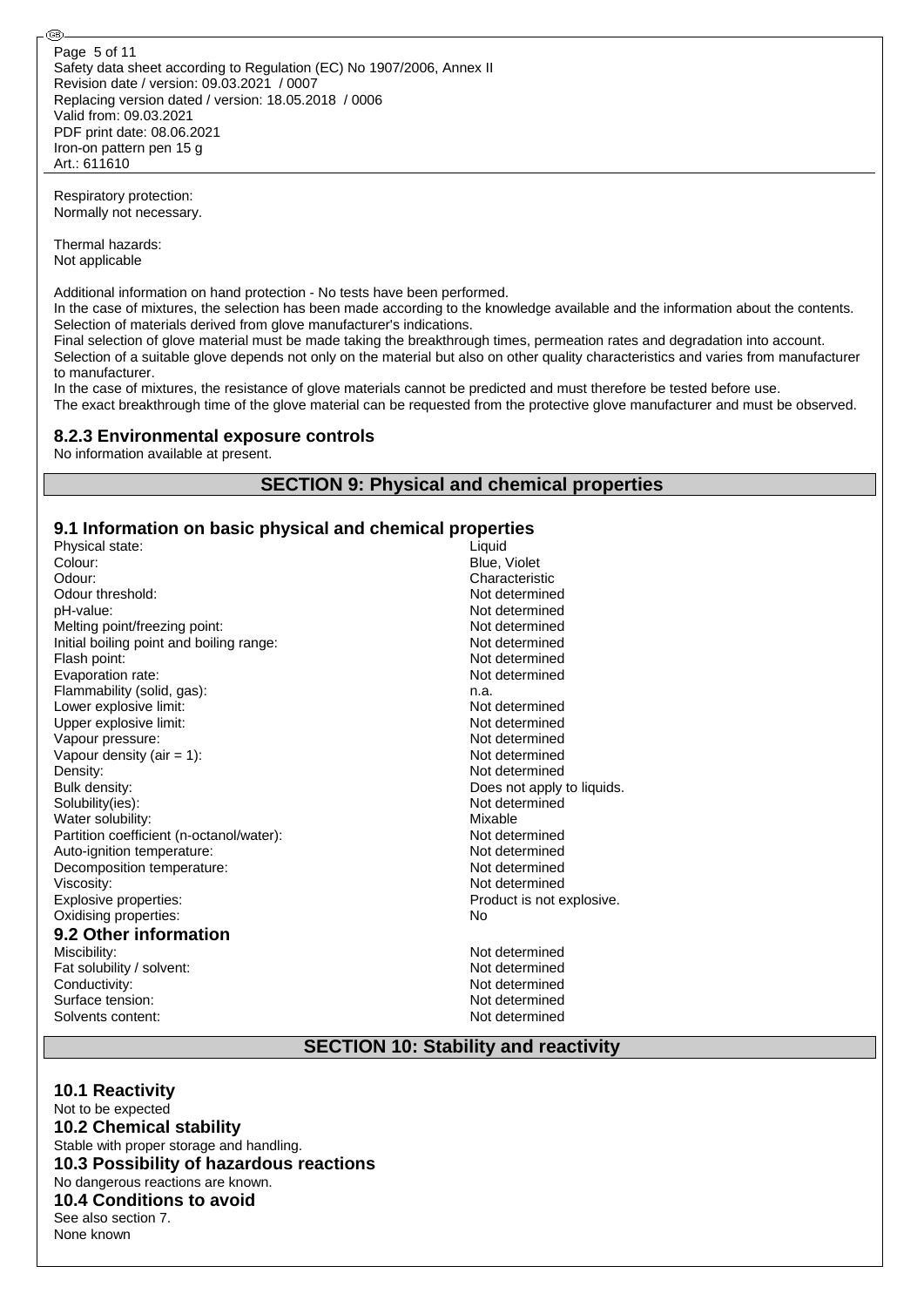Respiratory protection: Normally not necessary.

Thermal hazards: Not applicable

@

Additional information on hand protection - No tests have been performed.

In the case of mixtures, the selection has been made according to the knowledge available and the information about the contents. Selection of materials derived from glove manufacturer's indications.

Final selection of glove material must be made taking the breakthrough times, permeation rates and degradation into account. Selection of a suitable glove depends not only on the material but also on other quality characteristics and varies from manufacturer to manufacturer.

In the case of mixtures, the resistance of glove materials cannot be predicted and must therefore be tested before use. The exact breakthrough time of the glove material can be requested from the protective glove manufacturer and must be observed.

#### **8.2.3 Environmental exposure controls**

No information available at present.

## **SECTION 9: Physical and chemical properties**

## **9.1 Information on basic physical and chemical properties**

| Physical state:                          | Liquid           |
|------------------------------------------|------------------|
| Colour:                                  | Blue, Violet     |
| Odour:                                   | Characteristic   |
| Odour threshold:                         | Not determined   |
| pH-value:                                | Not determined   |
| Melting point/freezing point:            | Not determined   |
| Initial boiling point and boiling range: | Not determined   |
| Flash point:                             | Not determined   |
| Evaporation rate:                        | Not determined   |
| Flammability (solid, gas):               | n.a.             |
| Lower explosive limit:                   | Not determined   |
| Upper explosive limit:                   | Not determined   |
| Vapour pressure:                         | Not determined   |
| Vapour density (air $= 1$ ):             | Not determined   |
| Density:                                 | Not determined   |
| Bulk density:                            | Does not apply   |
| Solubility(ies):                         | Not determined   |
| Water solubility:                        | Mixable          |
| Partition coefficient (n-octanol/water): | Not determined   |
| Auto-ignition temperature:               | Not determined   |
| Decomposition temperature:               | Not determined   |
| Viscosity:                               | Not determined   |
| Explosive properties:                    | Product is not e |
| Oxidising properties:                    | No               |
| 9.2 Other information                    |                  |
| Miscibility:                             | Not determined   |
| Fat solubility / solvent:                | Not determined   |
| Conductivity:                            | Not determined   |
|                                          |                  |

Surface tension: Not determined Solvents content: Not determined

determined determined determined es not apply to liquids. determined determined determined determined determined duct is not explosive.

determined determined

## **SECTION 10: Stability and reactivity**

**10.1 Reactivity** Not to be expected **10.2 Chemical stability** Stable with proper storage and handling. **10.3 Possibility of hazardous reactions** No dangerous reactions are known. **10.4 Conditions to avoid** See also section 7. None known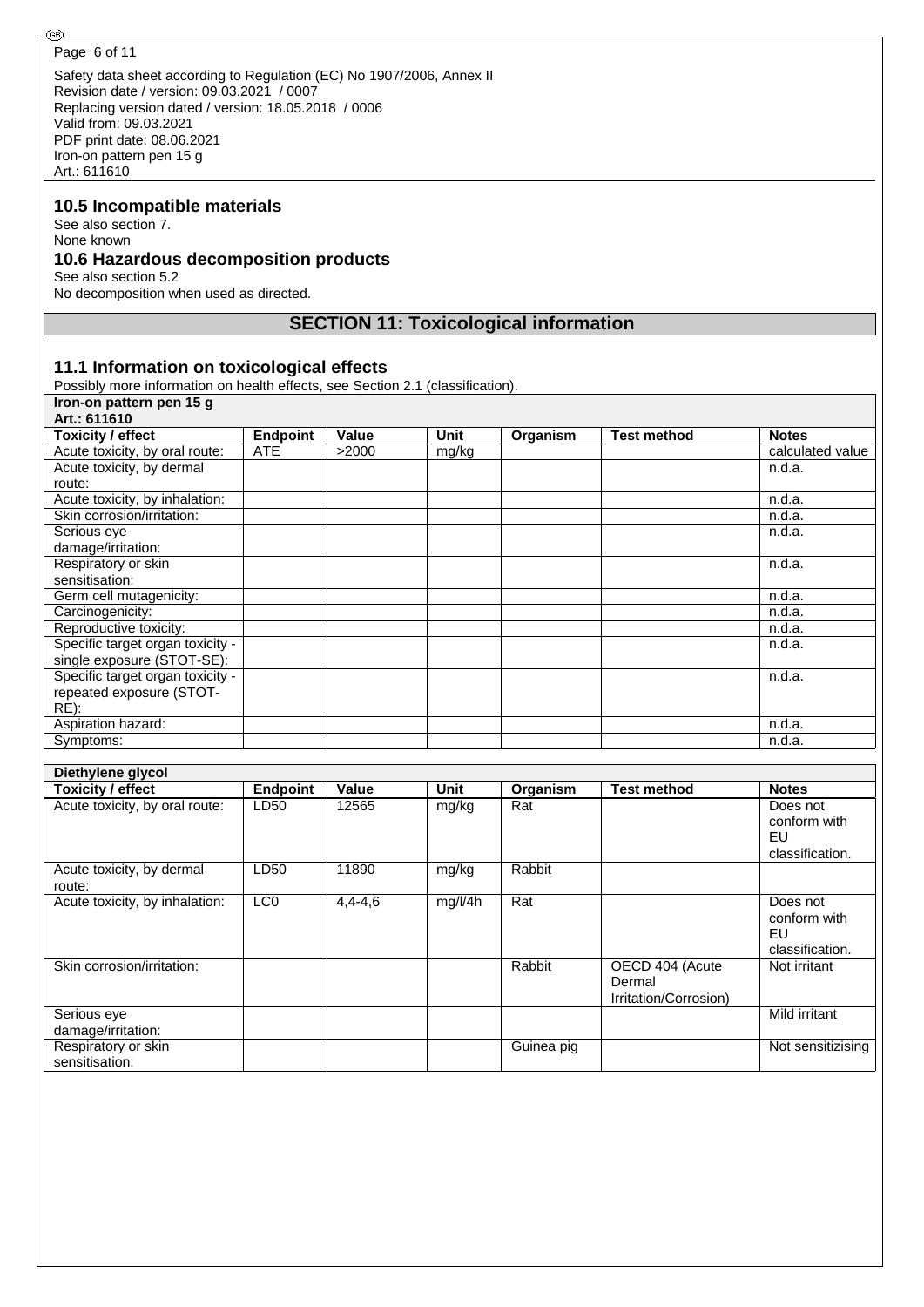⊛

Safety data sheet according to Regulation (EC) No 1907/2006, Annex II Revision date / version: 09.03.2021 / 0007 Replacing version dated / version: 18.05.2018 / 0006 Valid from: 09.03.2021 PDF print date: 08.06.2021 Iron-on pattern pen 15 g Art.: 611610

#### **10.5 Incompatible materials**

See also section 7. None known **10.6 Hazardous decomposition products** See also section 5.2

No decomposition when used as directed.

## **SECTION 11: Toxicological information**

## **11.1 Information on toxicological effects**

Possibly more information on health effects, see Section 2.1 (classification).

| Iron-on pattern pen 15 g         |                 |       |       |          |                    |                  |
|----------------------------------|-----------------|-------|-------|----------|--------------------|------------------|
| Art.: 611610                     |                 |       |       |          |                    |                  |
| <b>Toxicity / effect</b>         | <b>Endpoint</b> | Value | Unit  | Organism | <b>Test method</b> | <b>Notes</b>     |
| Acute toxicity, by oral route:   | <b>ATE</b>      | >2000 | mg/kg |          |                    | calculated value |
| Acute toxicity, by dermal        |                 |       |       |          |                    | n.d.a.           |
| route:                           |                 |       |       |          |                    |                  |
| Acute toxicity, by inhalation:   |                 |       |       |          |                    | n.d.a.           |
| Skin corrosion/irritation:       |                 |       |       |          |                    | n.d.a.           |
| Serious eye                      |                 |       |       |          |                    | n.d.a.           |
| damage/irritation:               |                 |       |       |          |                    |                  |
| Respiratory or skin              |                 |       |       |          |                    | n.d.a.           |
| sensitisation:                   |                 |       |       |          |                    |                  |
| Germ cell mutagenicity:          |                 |       |       |          |                    | n.d.a.           |
| Carcinogenicity:                 |                 |       |       |          |                    | n.d.a.           |
| Reproductive toxicity:           |                 |       |       |          |                    | n.d.a.           |
| Specific target organ toxicity - |                 |       |       |          |                    | n.d.a.           |
| single exposure (STOT-SE):       |                 |       |       |          |                    |                  |
| Specific target organ toxicity - |                 |       |       |          |                    | n.d.a.           |
| repeated exposure (STOT-         |                 |       |       |          |                    |                  |
| RE):                             |                 |       |       |          |                    |                  |
| Aspiration hazard:               |                 |       |       |          |                    | n.d.a.           |
| Symptoms:                        |                 |       |       |          |                    | n.d.a.           |

| Diethylene glycol                     |                 |             |         |            |                                                    |                                                   |
|---------------------------------------|-----------------|-------------|---------|------------|----------------------------------------------------|---------------------------------------------------|
| <b>Toxicity / effect</b>              | <b>Endpoint</b> | Value       | Unit    | Organism   | <b>Test method</b>                                 | <b>Notes</b>                                      |
| Acute toxicity, by oral route:        | LD50            | 12565       | mg/kg   | Rat        |                                                    | Does not<br>conform with<br>EU<br>classification. |
| Acute toxicity, by dermal<br>route:   | LD50            | 11890       | mg/kg   | Rabbit     |                                                    |                                                   |
| Acute toxicity, by inhalation:        | LC <sub>0</sub> | $4,4 - 4,6$ | mg/l/4h | Rat        |                                                    | Does not<br>conform with<br>EU<br>classification. |
| Skin corrosion/irritation:            |                 |             |         | Rabbit     | OECD 404 (Acute<br>Dermal<br>Irritation/Corrosion) | Not irritant                                      |
| Serious eye<br>damage/irritation:     |                 |             |         |            |                                                    | Mild irritant                                     |
| Respiratory or skin<br>sensitisation: |                 |             |         | Guinea pig |                                                    | Not sensitizising                                 |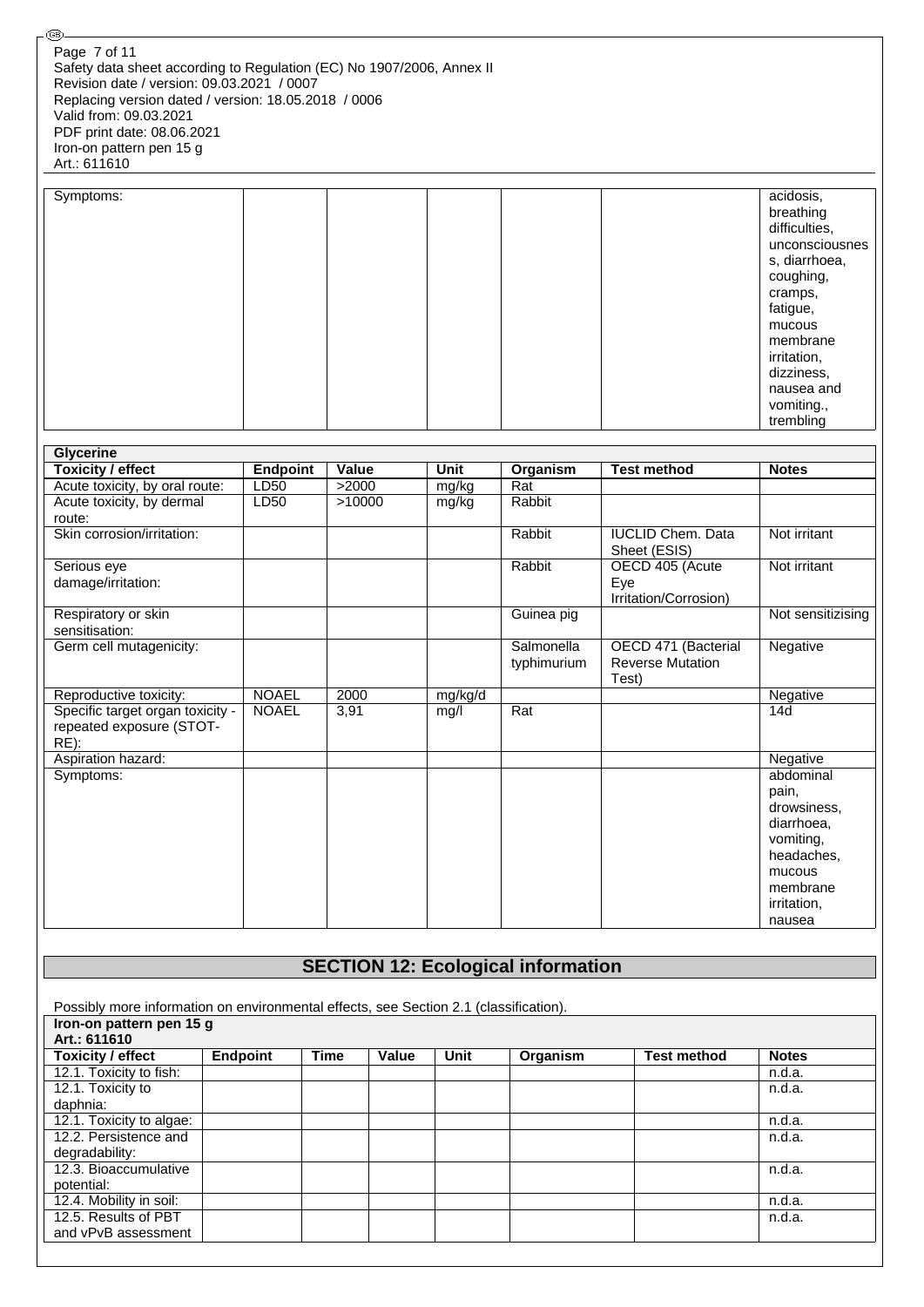⊛

| Symptoms: |  | acidosis,      |
|-----------|--|----------------|
|           |  | breathing      |
|           |  | difficulties,  |
|           |  | unconsciousnes |
|           |  | s, diarrhoea,  |
|           |  | coughing,      |
|           |  | cramps,        |
|           |  | fatigue,       |
|           |  | mucous         |
|           |  | membrane       |
|           |  | irritation,    |
|           |  | dizziness,     |
|           |  | nausea and     |
|           |  | vomiting.,     |
|           |  | trembling      |

| <b>Glycerine</b>                 |                 |        |             |             |                                          |                   |
|----------------------------------|-----------------|--------|-------------|-------------|------------------------------------------|-------------------|
| <b>Toxicity / effect</b>         | <b>Endpoint</b> | Value  | <b>Unit</b> | Organism    | <b>Test method</b>                       | <b>Notes</b>      |
| Acute toxicity, by oral route:   | LD50            | >2000  | mg/kg       | Rat         |                                          |                   |
| Acute toxicity, by dermal        | LD50            | >10000 | mg/kg       | Rabbit      |                                          |                   |
| route:                           |                 |        |             |             |                                          |                   |
| Skin corrosion/irritation:       |                 |        |             | Rabbit      | <b>IUCLID Chem. Data</b><br>Sheet (ESIS) | Not irritant      |
| Serious eye                      |                 |        |             | Rabbit      | OECD 405 (Acute                          | Not irritant      |
| damage/irritation:               |                 |        |             |             | Eye                                      |                   |
|                                  |                 |        |             |             | Irritation/Corrosion)                    |                   |
| Respiratory or skin              |                 |        |             | Guinea pig  |                                          | Not sensitizising |
| sensitisation:                   |                 |        |             |             |                                          |                   |
| Germ cell mutagenicity:          |                 |        |             | Salmonella  | OECD 471 (Bacterial                      | Negative          |
|                                  |                 |        |             | typhimurium | <b>Reverse Mutation</b>                  |                   |
|                                  |                 |        |             |             | Test)                                    |                   |
| Reproductive toxicity:           | <b>NOAEL</b>    | 2000   | mg/kg/d     |             |                                          | Negative          |
| Specific target organ toxicity - | <b>NOAEL</b>    | 3,91   | mg/l        | Rat         |                                          | 14d               |
| repeated exposure (STOT-         |                 |        |             |             |                                          |                   |
| $RE)$ :                          |                 |        |             |             |                                          |                   |
| Aspiration hazard:               |                 |        |             |             |                                          | Negative          |
| Symptoms:                        |                 |        |             |             |                                          | abdominal         |
|                                  |                 |        |             |             |                                          | pain,             |
|                                  |                 |        |             |             |                                          | drowsiness.       |
|                                  |                 |        |             |             |                                          | diarrhoea,        |
|                                  |                 |        |             |             |                                          | vomiting.         |
|                                  |                 |        |             |             |                                          | headaches,        |
|                                  |                 |        |             |             |                                          | mucous            |
|                                  |                 |        |             |             |                                          | membrane          |
|                                  |                 |        |             |             |                                          | irritation,       |
|                                  |                 |        |             |             |                                          | nausea            |

## **SECTION 12: Ecological information**

Possibly more information on environmental effects, see Section 2.1 (classification).

| Iron-on pattern pen 15 g |          |             |       |      |          |                    |              |  |
|--------------------------|----------|-------------|-------|------|----------|--------------------|--------------|--|
| Art.: 611610             |          |             |       |      |          |                    |              |  |
| <b>Toxicity / effect</b> | Endpoint | <b>Time</b> | Value | Unit | Organism | <b>Test method</b> | <b>Notes</b> |  |
| 12.1. Toxicity to fish:  |          |             |       |      |          |                    | n.d.a.       |  |
| 12.1. Toxicity to        |          |             |       |      |          |                    | n.d.a.       |  |
| daphnia:                 |          |             |       |      |          |                    |              |  |
| 12.1. Toxicity to algae: |          |             |       |      |          |                    | n.d.a.       |  |
| 12.2. Persistence and    |          |             |       |      |          |                    | n.d.a.       |  |
| degradability:           |          |             |       |      |          |                    |              |  |
| 12.3. Bioaccumulative    |          |             |       |      |          |                    | n.d.a.       |  |
| potential:               |          |             |       |      |          |                    |              |  |
| 12.4. Mobility in soil:  |          |             |       |      |          |                    | n.d.a.       |  |
| 12.5. Results of PBT     |          |             |       |      |          |                    | n.d.a.       |  |
| and vPvB assessment      |          |             |       |      |          |                    |              |  |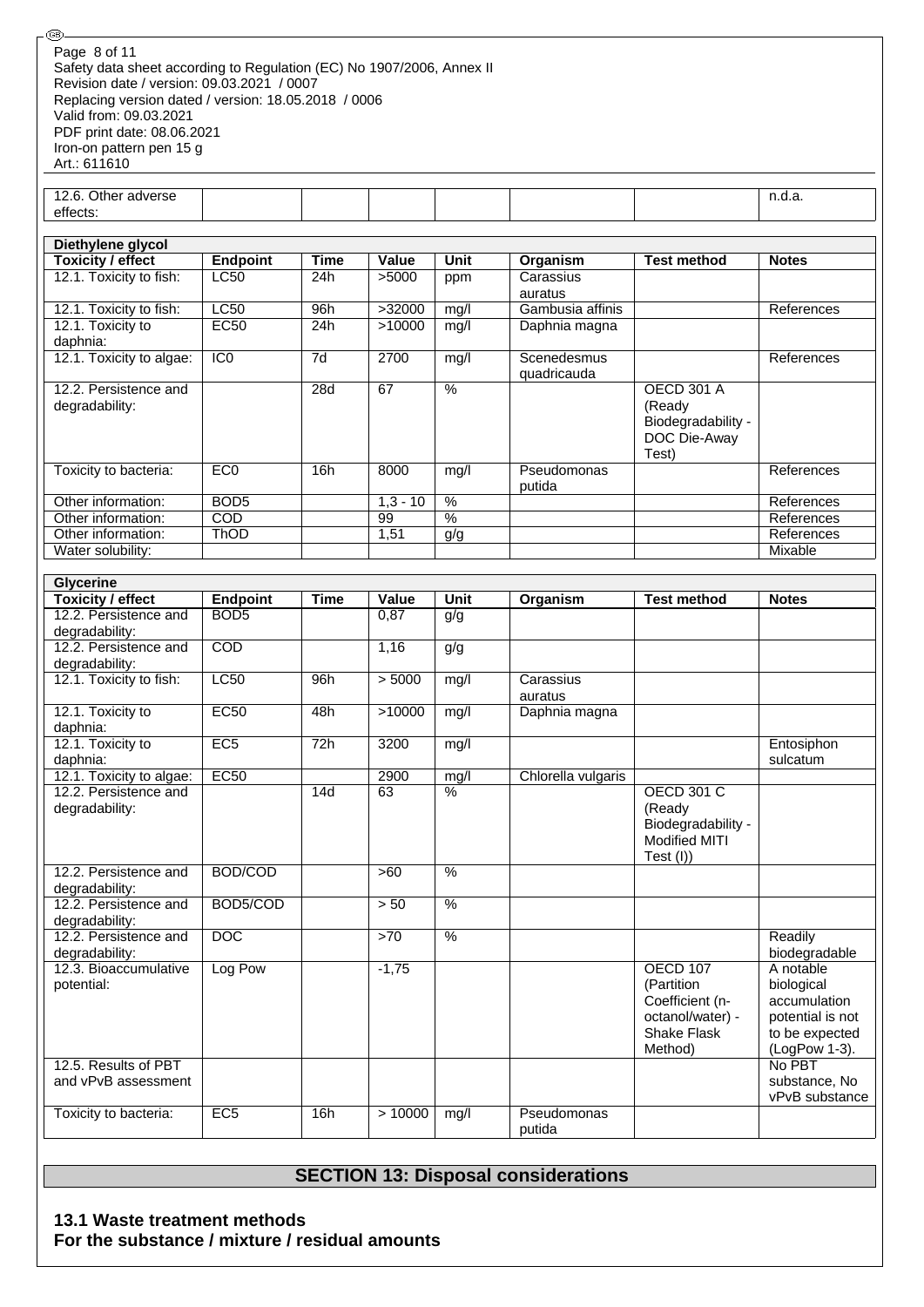| Page 8 of 11                                                          |
|-----------------------------------------------------------------------|
| Safety data sheet according to Regulation (EC) No 1907/2006, Annex II |
| Revision date / version: 09.03.2021 / 0007                            |
| Replacing version dated / version: 18.05.2018 / 0006                  |
| Valid from: 09.03.2021                                                |
| PDF print date: 08.06.2021                                            |
| Iron-on pattern pen 15 g                                              |
| Art.: 611610                                                          |

12.6. Other adverse effects:

®

| Diethylene glycol             |                  |             |            |                 |                  |                    |              |  |  |
|-------------------------------|------------------|-------------|------------|-----------------|------------------|--------------------|--------------|--|--|
| Toxicity / effect             | <b>Endpoint</b>  | <b>Time</b> | Value      | Unit            | Organism         | <b>Test method</b> | <b>Notes</b> |  |  |
| 12.1. Toxicity to fish:       | <b>LC50</b>      | 24h         | >5000      | ppm             | Carassius        |                    |              |  |  |
|                               |                  |             |            |                 | auratus          |                    |              |  |  |
| 12.1. Toxicity to fish:       | <b>LC50</b>      | 96h         | >32000     | mg/l            | Gambusia affinis |                    | References   |  |  |
| 12.1. Toxicity to<br>daphnia: | EC <sub>50</sub> | 24h         | >10000     | mg/l            | Daphnia magna    |                    |              |  |  |
| 12.1. Toxicity to algae:      | IC <sub>0</sub>  | 7d          | 2700       | mg/l            | Scenedesmus      |                    | References   |  |  |
|                               |                  |             |            |                 | quadricauda      |                    |              |  |  |
| 12.2. Persistence and         |                  | 28d         | 67         | $\frac{0}{0}$   |                  | <b>OECD 301 A</b>  |              |  |  |
| degradability:                |                  |             |            |                 |                  | (Ready             |              |  |  |
|                               |                  |             |            |                 |                  | Biodegradability - |              |  |  |
|                               |                  |             |            |                 |                  | DOC Die-Away       |              |  |  |
|                               |                  |             |            |                 |                  | Test)              |              |  |  |
| Toxicity to bacteria:         | EC <sub>0</sub>  | 16h         | 8000       | mg/l            | Pseudomonas      |                    | References   |  |  |
|                               |                  |             |            |                 | putida           |                    |              |  |  |
| Other information:            | BOD <sub>5</sub> |             | $1,3 - 10$ | $\overline{\%}$ |                  |                    | References   |  |  |
| Other information:            | <b>COD</b>       |             | 99         | $\frac{0}{0}$   |                  |                    | References   |  |  |
| Other information:            | <b>ThOD</b>      |             | 1,51       | g/g             |                  |                    | References   |  |  |
| Water solubility:             |                  |             |            |                 |                  |                    | Mixable      |  |  |

n.d.a.

| <b>Glycerine</b>                        |                  |             |         |                 |                    |                    |                         |  |
|-----------------------------------------|------------------|-------------|---------|-----------------|--------------------|--------------------|-------------------------|--|
| Toxicity / effect                       | <b>Endpoint</b>  | <b>Time</b> | Value   | Unit            | Organism           | <b>Test method</b> | <b>Notes</b>            |  |
| 12.2. Persistence and                   | BOD <sub>5</sub> |             | 0,87    | g/g             |                    |                    |                         |  |
| degradability:                          |                  |             |         |                 |                    |                    |                         |  |
| 12.2. Persistence and                   | COD              |             | 1,16    | g/g             |                    |                    |                         |  |
| degradability:                          |                  |             |         |                 |                    |                    |                         |  |
| 12.1. Toxicity to fish:                 | LC50             | 96h         | > 5000  | mg/l            | Carassius          |                    |                         |  |
|                                         |                  |             |         |                 | auratus            |                    |                         |  |
| 12.1. Toxicity to                       | <b>EC50</b>      | 48h         | >10000  | mg/l            | Daphnia magna      |                    |                         |  |
| daphnia:                                |                  |             |         |                 |                    |                    |                         |  |
| 12.1. Toxicity to                       | EC5              | 72h         | 3200    | mg/l            |                    |                    | Entosiphon              |  |
| daphnia:                                |                  |             |         |                 |                    |                    | sulcatum                |  |
| 12.1. Toxicity to algae:                | EC50             |             | 2900    | mg/l            | Chlorella vulgaris |                    |                         |  |
| 12.2. Persistence and                   |                  | 14d         | 63      | $\overline{\%}$ |                    | <b>OECD 301 C</b>  |                         |  |
| degradability:                          |                  |             |         |                 |                    | (Ready             |                         |  |
|                                         |                  |             |         |                 |                    | Biodegradability - |                         |  |
|                                         |                  |             |         |                 |                    | Modified MITI      |                         |  |
|                                         |                  |             |         |                 |                    | Test (I))          |                         |  |
| 12.2. Persistence and                   | BOD/COD          |             | >60     | $\%$            |                    |                    |                         |  |
| degradability:<br>12.2. Persistence and |                  |             |         | $\frac{0}{0}$   |                    |                    |                         |  |
|                                         | BOD5/COD         |             | > 50    |                 |                    |                    |                         |  |
| degradability:<br>12.2. Persistence and | $\overline{DOC}$ |             | >70     | $\%$            |                    |                    | Readily                 |  |
|                                         |                  |             |         |                 |                    |                    | biodegradable           |  |
| degradability:<br>12.3. Bioaccumulative | Log Pow          |             | $-1,75$ |                 |                    | OECD 107           | A notable               |  |
| potential:                              |                  |             |         |                 |                    | (Partition         | biological              |  |
|                                         |                  |             |         |                 |                    | Coefficient (n-    | accumulation            |  |
|                                         |                  |             |         |                 |                    | octanol/water) -   | potential is not        |  |
|                                         |                  |             |         |                 |                    | Shake Flask        |                         |  |
|                                         |                  |             |         |                 |                    | Method)            | to be expected          |  |
| 12.5. Results of PBT                    |                  |             |         |                 |                    |                    | (LogPow 1-3).<br>No PBT |  |
| and vPvB assessment                     |                  |             |         |                 |                    |                    | substance, No           |  |
|                                         |                  |             |         |                 |                    |                    | vPvB substance          |  |
| Toxicity to bacteria:                   | EC5              | 16h         | >10000  | mg/l            | Pseudomonas        |                    |                         |  |
|                                         |                  |             |         |                 | putida             |                    |                         |  |

## **SECTION 13: Disposal considerations**

**13.1 Waste treatment methods For the substance / mixture / residual amounts**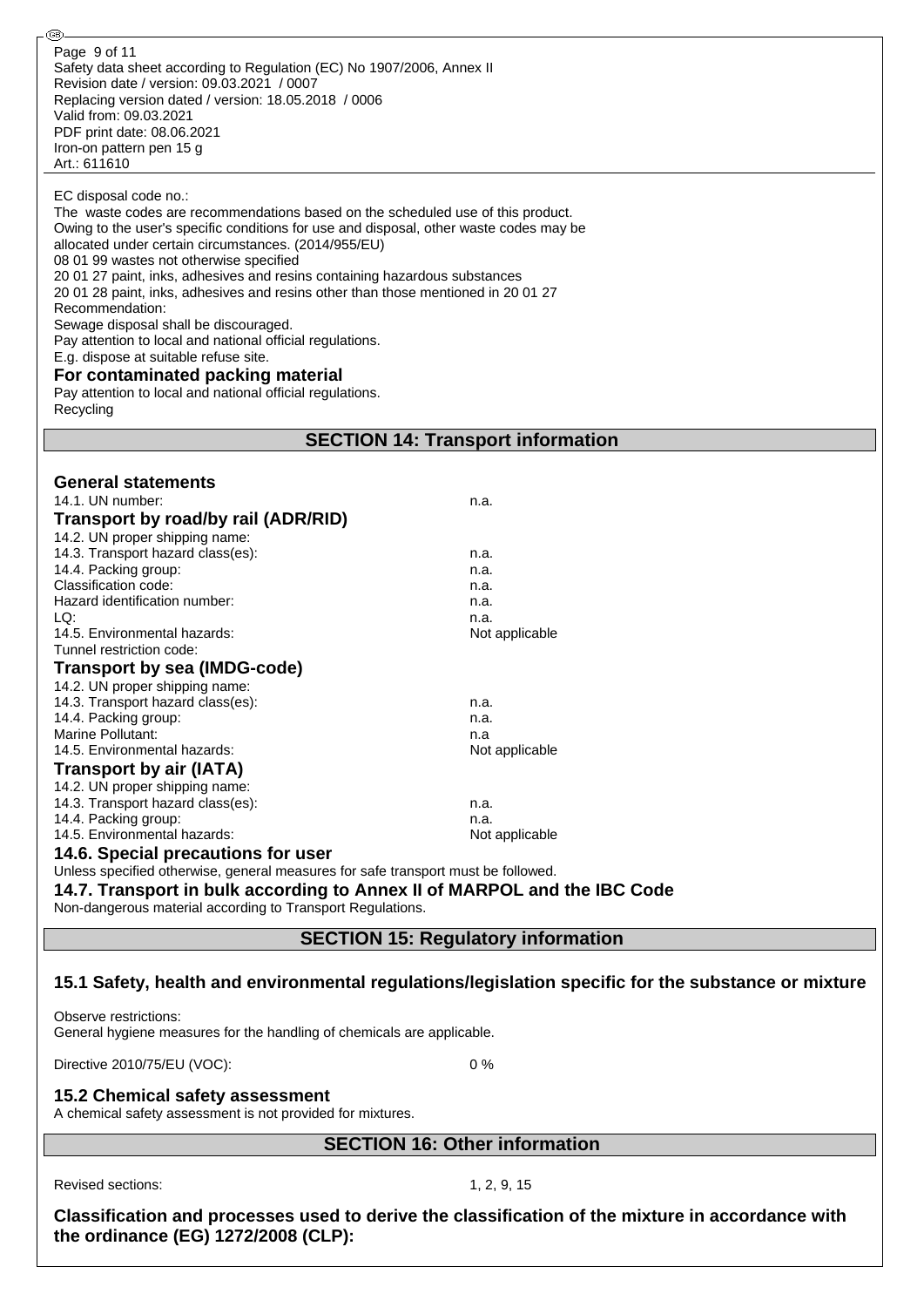#### EC disposal code no.:

@

| The waste codes are recommendations based on the scheduled use of this product.<br>Owing to the user's specific conditions for use and disposal, other waste codes may be<br>allocated under certain circumstances. (2014/955/EU)<br>08 01 99 wastes not otherwise specified<br>20 01 27 paint, inks, adhesives and resins containing hazardous substances<br>20 01 28 paint, inks, adhesives and resins other than those mentioned in 20 01 27<br>Recommendation:<br>Sewage disposal shall be discouraged.<br>Pay attention to local and national official regulations.<br>E.g. dispose at suitable refuse site.<br>For contaminated packing material<br>Pay attention to local and national official regulations.<br>Recycling |                                        |  |  |  |  |  |  |
|----------------------------------------------------------------------------------------------------------------------------------------------------------------------------------------------------------------------------------------------------------------------------------------------------------------------------------------------------------------------------------------------------------------------------------------------------------------------------------------------------------------------------------------------------------------------------------------------------------------------------------------------------------------------------------------------------------------------------------|----------------------------------------|--|--|--|--|--|--|
| <b>SECTION 14: Transport information</b>                                                                                                                                                                                                                                                                                                                                                                                                                                                                                                                                                                                                                                                                                         |                                        |  |  |  |  |  |  |
|                                                                                                                                                                                                                                                                                                                                                                                                                                                                                                                                                                                                                                                                                                                                  |                                        |  |  |  |  |  |  |
| <b>General statements</b>                                                                                                                                                                                                                                                                                                                                                                                                                                                                                                                                                                                                                                                                                                        |                                        |  |  |  |  |  |  |
| 14.1. UN number:                                                                                                                                                                                                                                                                                                                                                                                                                                                                                                                                                                                                                                                                                                                 | n.a.                                   |  |  |  |  |  |  |
| Transport by road/by rail (ADR/RID)                                                                                                                                                                                                                                                                                                                                                                                                                                                                                                                                                                                                                                                                                              |                                        |  |  |  |  |  |  |
| 14.2. UN proper shipping name:                                                                                                                                                                                                                                                                                                                                                                                                                                                                                                                                                                                                                                                                                                   |                                        |  |  |  |  |  |  |
| 14.3. Transport hazard class(es):                                                                                                                                                                                                                                                                                                                                                                                                                                                                                                                                                                                                                                                                                                | n.a.                                   |  |  |  |  |  |  |
| 14.4. Packing group:                                                                                                                                                                                                                                                                                                                                                                                                                                                                                                                                                                                                                                                                                                             | n.a.                                   |  |  |  |  |  |  |
| Classification code:                                                                                                                                                                                                                                                                                                                                                                                                                                                                                                                                                                                                                                                                                                             | n.a.                                   |  |  |  |  |  |  |
| Hazard identification number:                                                                                                                                                                                                                                                                                                                                                                                                                                                                                                                                                                                                                                                                                                    | n.a.                                   |  |  |  |  |  |  |
| LQ:                                                                                                                                                                                                                                                                                                                                                                                                                                                                                                                                                                                                                                                                                                                              | n.a.                                   |  |  |  |  |  |  |
| 14.5. Environmental hazards:<br>Tunnel restriction code:                                                                                                                                                                                                                                                                                                                                                                                                                                                                                                                                                                                                                                                                         | Not applicable                         |  |  |  |  |  |  |
|                                                                                                                                                                                                                                                                                                                                                                                                                                                                                                                                                                                                                                                                                                                                  |                                        |  |  |  |  |  |  |
| <b>Transport by sea (IMDG-code)</b>                                                                                                                                                                                                                                                                                                                                                                                                                                                                                                                                                                                                                                                                                              |                                        |  |  |  |  |  |  |
| 14.2. UN proper shipping name:                                                                                                                                                                                                                                                                                                                                                                                                                                                                                                                                                                                                                                                                                                   |                                        |  |  |  |  |  |  |
| 14.3. Transport hazard class(es):                                                                                                                                                                                                                                                                                                                                                                                                                                                                                                                                                                                                                                                                                                | n.a.                                   |  |  |  |  |  |  |
| 14.4. Packing group:                                                                                                                                                                                                                                                                                                                                                                                                                                                                                                                                                                                                                                                                                                             | n.a.                                   |  |  |  |  |  |  |
| Marine Pollutant:                                                                                                                                                                                                                                                                                                                                                                                                                                                                                                                                                                                                                                                                                                                | n.a                                    |  |  |  |  |  |  |
| 14.5. Environmental hazards:                                                                                                                                                                                                                                                                                                                                                                                                                                                                                                                                                                                                                                                                                                     | Not applicable                         |  |  |  |  |  |  |
| <b>Transport by air (IATA)</b>                                                                                                                                                                                                                                                                                                                                                                                                                                                                                                                                                                                                                                                                                                   |                                        |  |  |  |  |  |  |
| 14.2. UN proper shipping name:                                                                                                                                                                                                                                                                                                                                                                                                                                                                                                                                                                                                                                                                                                   |                                        |  |  |  |  |  |  |
| 14.3. Transport hazard class(es):                                                                                                                                                                                                                                                                                                                                                                                                                                                                                                                                                                                                                                                                                                | n.a.                                   |  |  |  |  |  |  |
| 14.4. Packing group:                                                                                                                                                                                                                                                                                                                                                                                                                                                                                                                                                                                                                                                                                                             | n.a.                                   |  |  |  |  |  |  |
| 14.5. Environmental hazards:                                                                                                                                                                                                                                                                                                                                                                                                                                                                                                                                                                                                                                                                                                     | Not applicable                         |  |  |  |  |  |  |
| 14.6. Special precautions for user<br>المتواصل والمستحدث والمتألف المتحال والألاف والمتاري                                                                                                                                                                                                                                                                                                                                                                                                                                                                                                                                                                                                                                       | والمستحدث والمستراة المستراة والمستحدث |  |  |  |  |  |  |

Unless specified otherwise, general measures for safe transport must be followed.

#### **14.7. Transport in bulk according to Annex II of MARPOL and the IBC Code**

Non-dangerous material according to Transport Regulations.

## **SECTION 15: Regulatory information**

#### **15.1 Safety, health and environmental regulations/legislation specific for the substance or mixture**

Observe restrictions: General hygiene measures for the handling of chemicals are applicable.

Directive 2010/75/EU (VOC): 0 %

#### **15.2 Chemical safety assessment**

A chemical safety assessment is not provided for mixtures.

## **SECTION 16: Other information**

Revised sections: 1, 2, 9, 15

**Classification and processes used to derive the classification of the mixture in accordance with the ordinance (EG) 1272/2008 (CLP):**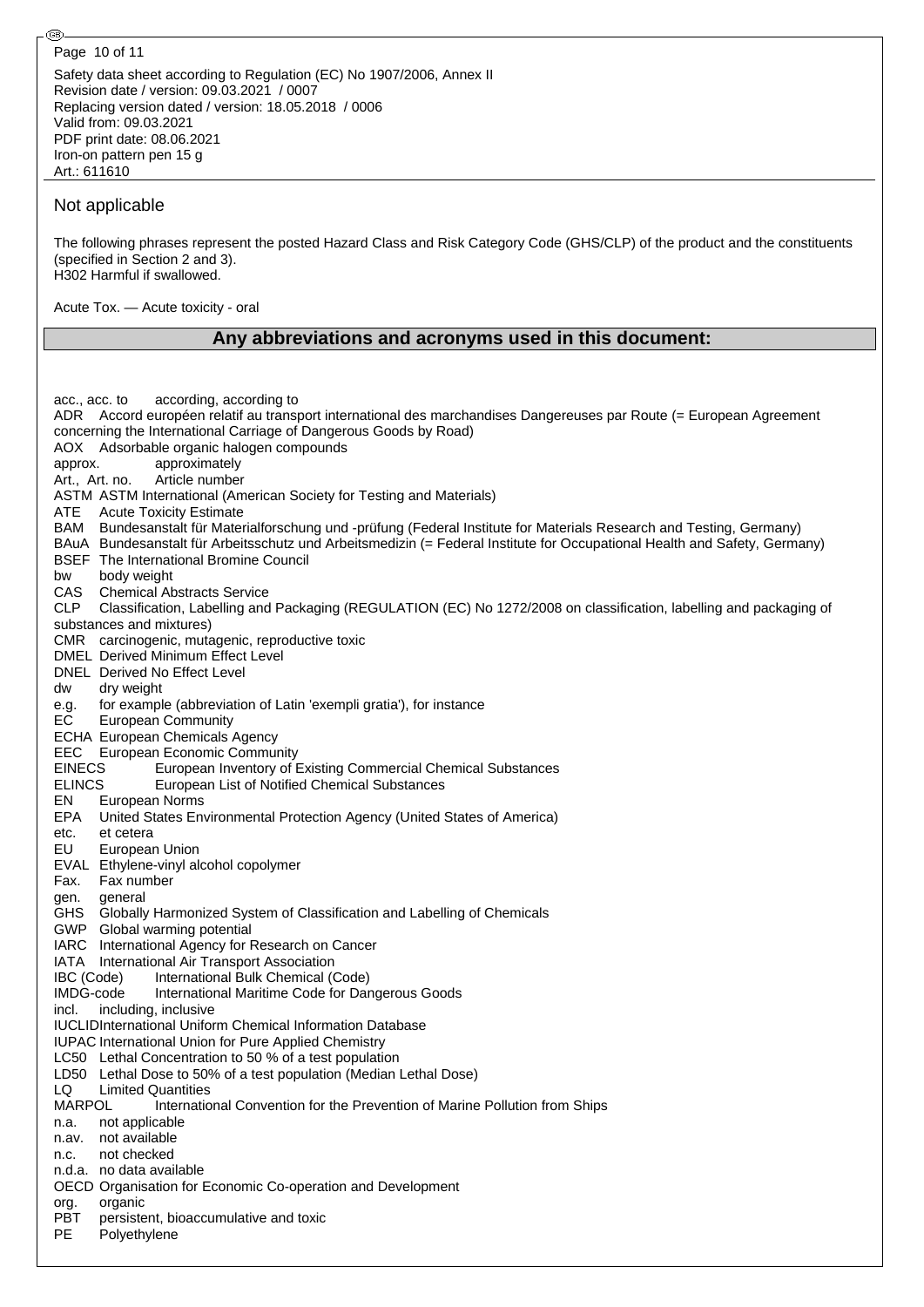Page 10 of 11

@

Safety data sheet according to Regulation (EC) No 1907/2006, Annex II Revision date / version: 09.03.2021 / 0007 Replacing version dated / version: 18.05.2018 / 0006 Valid from: 09.03.2021 PDF print date: 08.06.2021 Iron-on pattern pen 15 g Art.: 611610

### Not applicable

The following phrases represent the posted Hazard Class and Risk Category Code (GHS/CLP) of the product and the constituents (specified in Section 2 and 3). H302 Harmful if swallowed.

Acute Tox. — Acute toxicity - oral

## **Any abbreviations and acronyms used in this document:**

acc., acc. to according, according to ADR Accord européen relatif au transport international des marchandises Dangereuses par Route (= European Agreement concerning the International Carriage of Dangerous Goods by Road) AOX Adsorbable organic halogen compounds approx. approximately Art., Art. no. Article number ASTM ASTM International (American Society for Testing and Materials) ATE Acute Toxicity Estimate BAM Bundesanstalt für Materialforschung und -prüfung (Federal Institute for Materials Research and Testing, Germany) BAuA Bundesanstalt für Arbeitsschutz und Arbeitsmedizin (= Federal Institute for Occupational Health and Safety, Germany) BSEF The International Bromine Council bw body weight CAS Chemical Abstracts Service CLP Classification, Labelling and Packaging (REGULATION (EC) No 1272/2008 on classification, labelling and packaging of substances and mixtures) CMR carcinogenic, mutagenic, reproductive toxic DMEL Derived Minimum Effect Level DNEL Derived No Effect Level dw dry weight<br>e.g. for exampl<br>EC European for example (abbreviation of Latin 'exempli gratia'), for instance **European Community** ECHA European Chemicals Agency EEC European Economic Community EINECS European Inventory of Existing Commercial Chemical Substances ELINCS European List of Notified Chemical Substances EN European Norms EPA United States Environmental Protection Agency (United States of America) etc. et cetera EU European Union EVAL Ethylene-vinyl alcohol copolymer Fax. Fax number gen. general GHS Globally Harmonized System of Classification and Labelling of Chemicals GWP Global warming potential IARC International Agency for Research on Cancer IATA International Air Transport Association IBC (Code) International Bulk Chemical (Code) IMDG-code International Maritime Code for Dangerous Goods incl. including, inclusive IUCLIDInternational Uniform Chemical Information Database IUPAC International Union for Pure Applied Chemistry LC50 Lethal Concentration to 50 % of a test population LD50 Lethal Dose to 50% of a test population (Median Lethal Dose) LQ Limited Quantities MARPOL International Convention for the Prevention of Marine Pollution from Ships n.a. not applicable n.av. not available n.c. not checked n.d.a. no data available OECD Organisation for Economic Co-operation and Development org. organic PBT persistent, bioaccumulative and toxic PE Polyethylene